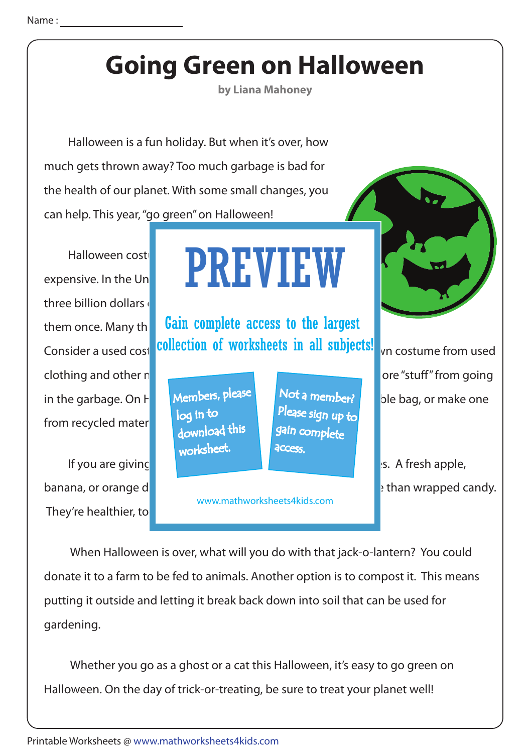## Name :

## **Going Green on Halloween**

**by Liana Mahoney**

 Halloween is a fun holiday. But when it's over, how much gets thrown away? Too much garbage is bad for the health of our planet. With some small changes, you can help. This year, "go green" on Halloween!

three billion dollars  $\theta$ from recycled mater

They're healthier, to

## Halloween costumes and a function of the function of the set of the set of the set of the set of the set of the expensive. In the United States alone, people spend over  $\blacksquare$ PREVIEW

them once. Many the **Gain complete access to the largest** Consider a used cost collection of worksheets in all subjects! This costume from used

> Members, please download this worksheet. log in to

Not a member? gain complete Please sign up to **access** 

www.mathworksheets4kids.com



clothing and other nature materials. This can save money and prevent money and prevent more "stuff" from going in the garbage. On  $H$  Members,  $P^{leats}$  Not a member? ble bag, or make one

If you are giving out that  $\mathbb{R}$  is a fresh apple,  $\mathbb{R}$  is A fresh apple, banana, or orange doesn't have a wrapped candy.

 When Halloween is over, what will you do with that jack-o-lantern? You could donate it to a farm to be fed to animals. Another option is to compost it. This means putting it outside and letting it break back down into soil that can be used for gardening.

 Whether you go as a ghost or a cat this Halloween, it's easy to go green on Halloween. On the day of trick-or-treating, be sure to treat your planet well!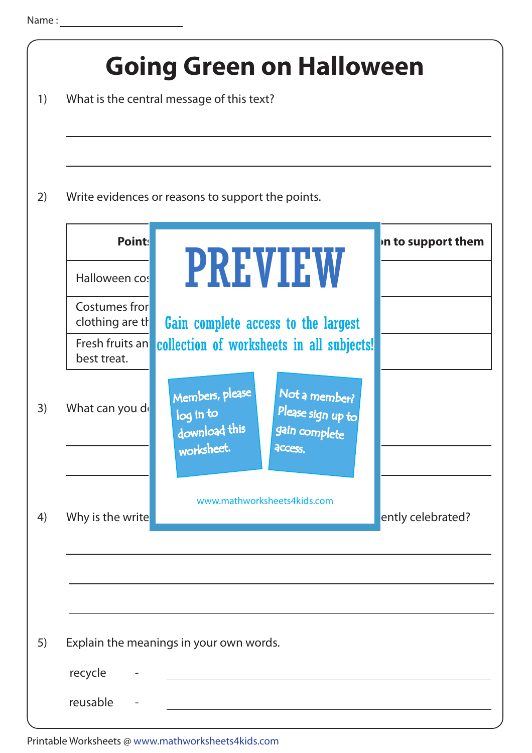| 1) | <b>Going Green on Halloween</b><br>What is the central message of this text? |                                                             |                                                                |                    |  |  |
|----|------------------------------------------------------------------------------|-------------------------------------------------------------|----------------------------------------------------------------|--------------------|--|--|
| 2) | Write evidences or reasons to support the points.                            |                                                             |                                                                |                    |  |  |
|    | Point:                                                                       |                                                             |                                                                | in to support them |  |  |
|    | Halloween cos                                                                |                                                             | <b>PREVIEW</b>                                                 |                    |  |  |
|    | Costumes fror<br>clothing are the                                            |                                                             | Gain complete access to the largest                            |                    |  |  |
|    | best treat.                                                                  |                                                             | Fresh fruits an collection of worksheets in all subjects!      |                    |  |  |
| 3) | What can you de                                                              | Members, please<br>log in to<br>download this<br>worksheet. | Not a member?<br>Please sign up to<br>gain complete<br>access. |                    |  |  |
|    |                                                                              |                                                             |                                                                |                    |  |  |
| 4) | Why is the write                                                             |                                                             | www.mathworksheets4kids.com                                    | ently celebrated?  |  |  |
|    |                                                                              |                                                             |                                                                |                    |  |  |
|    |                                                                              |                                                             |                                                                |                    |  |  |
| 5) |                                                                              | Explain the meanings in your own words.                     |                                                                |                    |  |  |
|    | recycle                                                                      |                                                             |                                                                |                    |  |  |
|    | reusable                                                                     |                                                             |                                                                |                    |  |  |